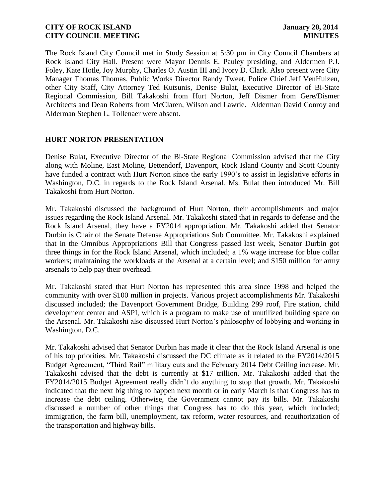The Rock Island City Council met in Study Session at 5:30 pm in City Council Chambers at Rock Island City Hall. Present were Mayor Dennis E. Pauley presiding, and Aldermen P.J. Foley, Kate Hotle, Joy Murphy, Charles O. Austin III and Ivory D. Clark. Also present were City Manager Thomas Thomas, Public Works Director Randy Tweet, Police Chief Jeff VenHuizen, other City Staff, City Attorney Ted Kutsunis, Denise Bulat, Executive Director of Bi-State Regional Commission, Bill Takakoshi from Hurt Norton, Jeff Dismer from Gere/Dismer Architects and Dean Roberts from McClaren, Wilson and Lawrie. Alderman David Conroy and Alderman Stephen L. Tollenaer were absent.

### **HURT NORTON PRESENTATION**

Denise Bulat, Executive Director of the Bi-State Regional Commission advised that the City along with Moline, East Moline, Bettendorf, Davenport, Rock Island County and Scott County have funded a contract with Hurt Norton since the early 1990's to assist in legislative efforts in Washington, D.C. in regards to the Rock Island Arsenal. Ms. Bulat then introduced Mr. Bill Takakoshi from Hurt Norton.

Mr. Takakoshi discussed the background of Hurt Norton, their accomplishments and major issues regarding the Rock Island Arsenal. Mr. Takakoshi stated that in regards to defense and the Rock Island Arsenal, they have a FY2014 appropriation. Mr. Takakoshi added that Senator Durbin is Chair of the Senate Defense Appropriations Sub Committee. Mr. Takakoshi explained that in the Omnibus Appropriations Bill that Congress passed last week, Senator Durbin got three things in for the Rock Island Arsenal, which included; a 1% wage increase for blue collar workers; maintaining the workloads at the Arsenal at a certain level; and \$150 million for army arsenals to help pay their overhead.

Mr. Takakoshi stated that Hurt Norton has represented this area since 1998 and helped the community with over \$100 million in projects. Various project accomplishments Mr. Takakoshi discussed included; the Davenport Government Bridge, Building 299 roof, Fire station, child development center and ASPI, which is a program to make use of unutilized building space on the Arsenal. Mr. Takakoshi also discussed Hurt Norton's philosophy of lobbying and working in Washington, D.C.

Mr. Takakoshi advised that Senator Durbin has made it clear that the Rock Island Arsenal is one of his top priorities. Mr. Takakoshi discussed the DC climate as it related to the FY2014/2015 Budget Agreement, "Third Rail" military cuts and the February 2014 Debt Ceiling increase. Mr. Takakoshi advised that the debt is currently at \$17 trillion. Mr. Takakoshi added that the FY2014/2015 Budget Agreement really didn't do anything to stop that growth. Mr. Takakoshi indicated that the next big thing to happen next month or in early March is that Congress has to increase the debt ceiling. Otherwise, the Government cannot pay its bills. Mr. Takakoshi discussed a number of other things that Congress has to do this year, which included; immigration, the farm bill, unemployment, tax reform, water resources, and reauthorization of the transportation and highway bills.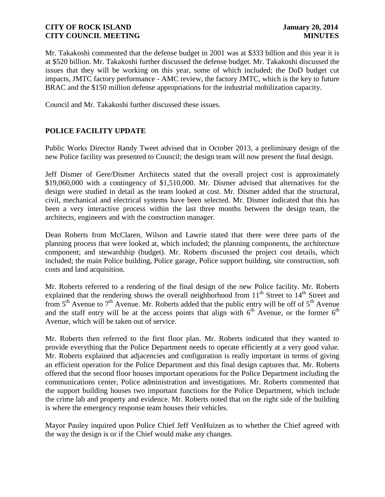Mr. Takakoshi commented that the defense budget in 2001 was at \$333 billion and this year it is at \$520 billion. Mr. Takakoshi further discussed the defense budget. Mr. Takakoshi discussed the issues that they will be working on this year, some of which included; the DoD budget cut impacts, JMTC factory performance - AMC review, the factory JMTC, which is the key to future BRAC and the \$150 million defense appropriations for the industrial mobilization capacity.

Council and Mr. Takakoshi further discussed these issues.

# **POLICE FACILITY UPDATE**

Public Works Director Randy Tweet advised that in October 2013, a preliminary design of the new Police facility was presented to Council; the design team will now present the final design.

Jeff Dismer of Gere/Dismer Architects stated that the overall project cost is approximately \$19,060,000 with a contingency of \$1,510,000. Mr. Dismer advised that alternatives for the design were studied in detail as the team looked at cost. Mr. Dismer added that the structural, civil, mechanical and electrical systems have been selected. Mr. Dismer indicated that this has been a very interactive process within the last three months between the design team, the architects, engineers and with the construction manager.

Dean Roberts from McClaren, Wilson and Lawrie stated that there were three parts of the planning process that were looked at, which included; the planning components, the architecture component; and stewardship (budget). Mr. Roberts discussed the project cost details, which included; the main Police building, Police garage, Police support building, site construction, soft costs and land acquisition.

Mr. Roberts referred to a rendering of the final design of the new Police facility. Mr. Roberts explained that the rendering shows the overall neighborhood from  $11<sup>th</sup>$  Street to  $14<sup>th</sup>$  Street and from  $5<sup>th</sup>$  Avenue to  $7<sup>th</sup>$  Avenue. Mr. Roberts added that the public entry will be off of  $5<sup>th</sup>$  Avenue and the staff entry will be at the access points that align with  $6<sup>th</sup>$  Avenue, or the former  $6<sup>th</sup>$ Avenue, which will be taken out of service.

Mr. Roberts then referred to the first floor plan. Mr. Roberts indicated that they wanted to provide everything that the Police Department needs to operate efficiently at a very good value. Mr. Roberts explained that adjacencies and configuration is really important in terms of giving an efficient operation for the Police Department and this final design captures that. Mr. Roberts offered that the second floor houses important operations for the Police Department including the communications center, Police administration and investigations. Mr. Roberts commented that the support building houses two important functions for the Police Department, which include the crime lab and property and evidence. Mr. Roberts noted that on the right side of the building is where the emergency response team houses their vehicles.

Mayor Pauley inquired upon Police Chief Jeff VenHuizen as to whether the Chief agreed with the way the design is or if the Chief would make any changes.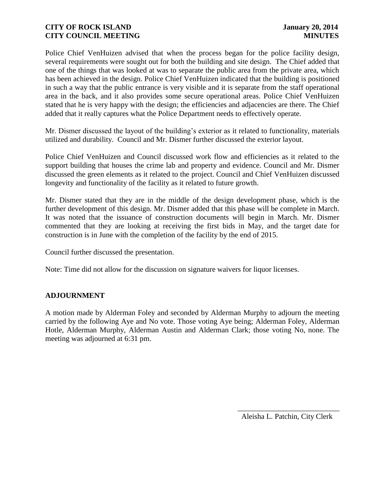Police Chief VenHuizen advised that when the process began for the police facility design, several requirements were sought out for both the building and site design. The Chief added that one of the things that was looked at was to separate the public area from the private area, which has been achieved in the design. Police Chief VenHuizen indicated that the building is positioned in such a way that the public entrance is very visible and it is separate from the staff operational area in the back, and it also provides some secure operational areas. Police Chief VenHuizen stated that he is very happy with the design; the efficiencies and adjacencies are there. The Chief added that it really captures what the Police Department needs to effectively operate.

Mr. Dismer discussed the layout of the building's exterior as it related to functionality, materials utilized and durability. Council and Mr. Dismer further discussed the exterior layout.

Police Chief VenHuizen and Council discussed work flow and efficiencies as it related to the support building that houses the crime lab and property and evidence. Council and Mr. Dismer discussed the green elements as it related to the project. Council and Chief VenHuizen discussed longevity and functionality of the facility as it related to future growth.

Mr. Dismer stated that they are in the middle of the design development phase, which is the further development of this design. Mr. Dismer added that this phase will be complete in March. It was noted that the issuance of construction documents will begin in March. Mr. Dismer commented that they are looking at receiving the first bids in May, and the target date for construction is in June with the completion of the facility by the end of 2015.

Council further discussed the presentation.

Note: Time did not allow for the discussion on signature waivers for liquor licenses.

#### **ADJOURNMENT**

A motion made by Alderman Foley and seconded by Alderman Murphy to adjourn the meeting carried by the following Aye and No vote. Those voting Aye being; Alderman Foley, Alderman Hotle, Alderman Murphy, Alderman Austin and Alderman Clark; those voting No, none. The meeting was adjourned at 6:31 pm.

> \_\_\_\_\_\_\_\_\_\_\_\_\_\_\_\_\_\_\_\_\_\_\_\_\_\_\_ Aleisha L. Patchin, City Clerk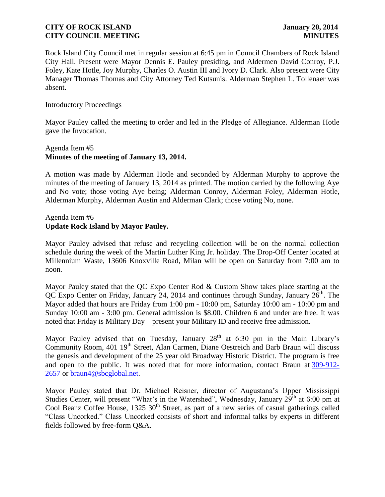Rock Island City Council met in regular session at 6:45 pm in Council Chambers of Rock Island City Hall. Present were Mayor Dennis E. Pauley presiding, and Aldermen David Conroy, P.J. Foley, Kate Hotle, Joy Murphy, Charles O. Austin III and Ivory D. Clark. Also present were City Manager Thomas Thomas and City Attorney Ted Kutsunis. Alderman Stephen L. Tollenaer was absent.

#### Introductory Proceedings

Mayor Pauley called the meeting to order and led in the Pledge of Allegiance. Alderman Hotle gave the Invocation.

## Agenda Item #5 **Minutes of the meeting of January 13, 2014.**

A motion was made by Alderman Hotle and seconded by Alderman Murphy to approve the minutes of the meeting of January 13, 2014 as printed. The motion carried by the following Aye and No vote; those voting Aye being; Alderman Conroy, Alderman Foley, Alderman Hotle, Alderman Murphy, Alderman Austin and Alderman Clark; those voting No, none.

### Agenda Item #6 **Update Rock Island by Mayor Pauley.**

Mayor Pauley advised that refuse and recycling collection will be on the normal collection schedule during the week of the Martin Luther King Jr. holiday. The Drop-Off Center located at Millennium Waste, 13606 Knoxville Road, Milan will be open on Saturday from 7:00 am to noon.

Mayor Pauley stated that the QC Expo Center Rod & Custom Show takes place starting at the QC Expo Center on Friday, January 24, 2014 and continues through Sunday, January  $26<sup>th</sup>$ . The Mayor added that hours are Friday from 1:00 pm - 10:00 pm, Saturday 10:00 am - 10:00 pm and Sunday 10:00 am - 3:00 pm. General admission is \$8.00. Children 6 and under are free. It was noted that Friday is Military Day – present your Military ID and receive free admission.

Mayor Pauley advised that on Tuesday, January  $28<sup>th</sup>$  at 6:30 pm in the Main Library's Community Room, 401 19<sup>th</sup> Street, Alan Carmen, Diane Oestreich and Barb Braun will discuss the genesis and development of the 25 year old Broadway Historic District. The program is free and open to the public. It was noted that for more information, contact Braun at [309-912-](tel:309-912-2657) [2657](tel:309-912-2657) or [braun4@sbcglobal.net.](mailto:braun4@sbcglobal.net)

Mayor Pauley stated that Dr. Michael Reisner, director of Augustana's Upper Mississippi Studies Center, will present "What's in the Watershed", Wednesday, January 29<sup>th</sup> at 6:00 pm at Cool Beanz Coffee House, 1325 30<sup>th</sup> Street, as part of a new series of casual gatherings called "Class Uncorked." Class Uncorked consists of short and informal talks by experts in different fields followed by free-form Q&A.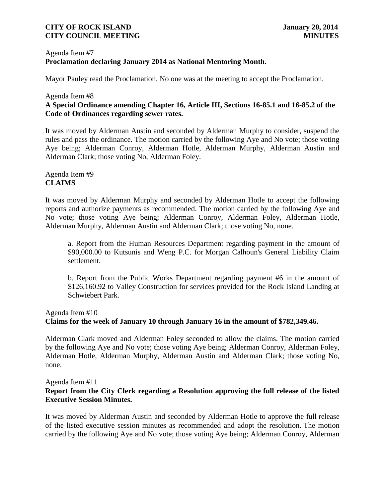### Agenda Item #7 **Proclamation declaring January 2014 as National Mentoring Month.**

Mayor Pauley read the Proclamation. No one was at the meeting to accept the Proclamation.

### Agenda Item #8 **A Special Ordinance amending Chapter 16, Article III, Sections 16-85.1 and 16-85.2 of the Code of Ordinances regarding sewer rates.**

It was moved by Alderman Austin and seconded by Alderman Murphy to consider, suspend the rules and pass the ordinance. The motion carried by the following Aye and No vote; those voting Aye being; Alderman Conroy, Alderman Hotle, Alderman Murphy, Alderman Austin and Alderman Clark; those voting No, Alderman Foley.

# Agenda Item #9 **CLAIMS**

It was moved by Alderman Murphy and seconded by Alderman Hotle to accept the following reports and authorize payments as recommended. The motion carried by the following Aye and No vote; those voting Aye being; Alderman Conroy, Alderman Foley, Alderman Hotle, Alderman Murphy, Alderman Austin and Alderman Clark; those voting No, none.

a. Report from the Human Resources Department regarding payment in the amount of \$90,000.00 to Kutsunis and Weng P.C. for Morgan Calhoun's General Liability Claim settlement.

b. Report from the Public Works Department regarding payment #6 in the amount of \$126,160.92 to Valley Construction for services provided for the Rock Island Landing at Schwiebert Park.

## Agenda Item #10

#### **Claims for the week of January 10 through January 16 in the amount of \$782,349.46.**

Alderman Clark moved and Alderman Foley seconded to allow the claims. The motion carried by the following Aye and No vote; those voting Aye being; Alderman Conroy, Alderman Foley, Alderman Hotle, Alderman Murphy, Alderman Austin and Alderman Clark; those voting No, none.

Agenda Item #11

## **Report from the City Clerk regarding a Resolution approving the full release of the listed Executive Session Minutes.**

It was moved by Alderman Austin and seconded by Alderman Hotle to approve the full release of the listed executive session minutes as recommended and adopt the resolution. The motion carried by the following Aye and No vote; those voting Aye being; Alderman Conroy, Alderman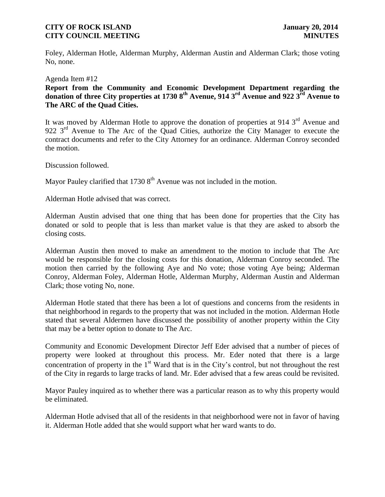Foley, Alderman Hotle, Alderman Murphy, Alderman Austin and Alderman Clark; those voting No, none.

Agenda Item #12

#### **Report from the Community and Economic Development Department regarding the donation of three City properties at 1730 8th Avenue, 914 3 rd Avenue and 922 3 rd Avenue to The ARC of the Quad Cities.**

It was moved by Alderman Hotle to approve the donation of properties at 914  $3<sup>rd</sup>$  Avenue and 922 3<sup>rd</sup> Avenue to The Arc of the Quad Cities, authorize the City Manager to execute the contract documents and refer to the City Attorney for an ordinance. Alderman Conroy seconded the motion.

Discussion followed.

Mayor Pauley clarified that  $17308<sup>th</sup>$  Avenue was not included in the motion.

Alderman Hotle advised that was correct.

Alderman Austin advised that one thing that has been done for properties that the City has donated or sold to people that is less than market value is that they are asked to absorb the closing costs.

Alderman Austin then moved to make an amendment to the motion to include that The Arc would be responsible for the closing costs for this donation, Alderman Conroy seconded. The motion then carried by the following Aye and No vote; those voting Aye being; Alderman Conroy, Alderman Foley, Alderman Hotle, Alderman Murphy, Alderman Austin and Alderman Clark; those voting No, none.

Alderman Hotle stated that there has been a lot of questions and concerns from the residents in that neighborhood in regards to the property that was not included in the motion. Alderman Hotle stated that several Aldermen have discussed the possibility of another property within the City that may be a better option to donate to The Arc.

concentration of property in the 1<sup>st</sup> Ward that is in the City's control, but not throughout the rest of the City in regards to large tracks of land. Mr. Eder advised that a few areas could be revisited. Community and Economic Development Director Jeff Eder advised that a number of pieces of property were looked at throughout this process. Mr. Eder noted that there is a large

Mayor Pauley inquired as to whether there was a particular reason as to why this property would be eliminated.

Alderman Hotle advised that all of the residents in that neighborhood were not in favor of having it. Alderman Hotle added that she would support what her ward wants to do.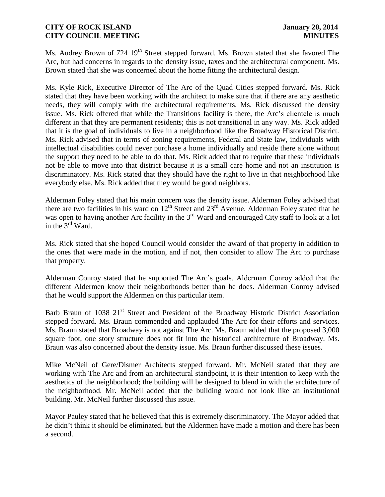Ms. Audrey Brown of 724 19<sup>th</sup> Street stepped forward. Ms. Brown stated that she favored The Arc, but had concerns in regards to the density issue, taxes and the architectural component. Ms. Brown stated that she was concerned about the home fitting the architectural design.

Ms. Kyle Rick, Executive Director of The Arc of the Quad Cities stepped forward. Ms. Rick stated that they have been working with the architect to make sure that if there are any aesthetic needs, they will comply with the architectural requirements. Ms. Rick discussed the density issue. Ms. Rick offered that while the Transitions facility is there, the Arc's clientele is much different in that they are permanent residents; this is not transitional in any way. Ms. Rick added that it is the goal of individuals to live in a neighborhood like the Broadway Historical District. Ms. Rick advised that in terms of zoning requirements, Federal and State law, individuals with intellectual disabilities could never purchase a home individually and reside there alone without the support they need to be able to do that. Ms. Rick added that to require that these individuals not be able to move into that district because it is a small care home and not an institution is discriminatory. Ms. Rick stated that they should have the right to live in that neighborhood like everybody else. Ms. Rick added that they would be good neighbors.

Alderman Foley stated that his main concern was the density issue. Alderman Foley advised that there are two facilities in his ward on  $12<sup>th</sup>$  Street and  $23<sup>rd</sup>$  Avenue. Alderman Foley stated that he was open to having another Arc facility in the  $3<sup>rd</sup>$  Ward and encouraged City staff to look at a lot in the  $3<sup>rd</sup>$  Ward.

Ms. Rick stated that she hoped Council would consider the award of that property in addition to the ones that were made in the motion, and if not, then consider to allow The Arc to purchase that property.

Alderman Conroy stated that he supported The Arc's goals. Alderman Conroy added that the different Aldermen know their neighborhoods better than he does. Alderman Conroy advised that he would support the Aldermen on this particular item.

Barb Braun of 1038 21<sup>st</sup> Street and President of the Broadway Historic District Association stepped forward. Ms. Braun commended and applauded The Arc for their efforts and services. Ms. Braun stated that Broadway is not against The Arc. Ms. Braun added that the proposed 3,000 square foot, one story structure does not fit into the historical architecture of Broadway. Ms. Braun was also concerned about the density issue. Ms. Braun further discussed these issues.

Mike McNeil of Gere/Dismer Architects stepped forward. Mr. McNeil stated that they are working with The Arc and from an architectural standpoint, it is their intention to keep with the aesthetics of the neighborhood; the building will be designed to blend in with the architecture of the neighborhood. Mr. McNeil added that the building would not look like an institutional building. Mr. McNeil further discussed this issue.

Mayor Pauley stated that he believed that this is extremely discriminatory. The Mayor added that he didn't think it should be eliminated, but the Aldermen have made a motion and there has been a second.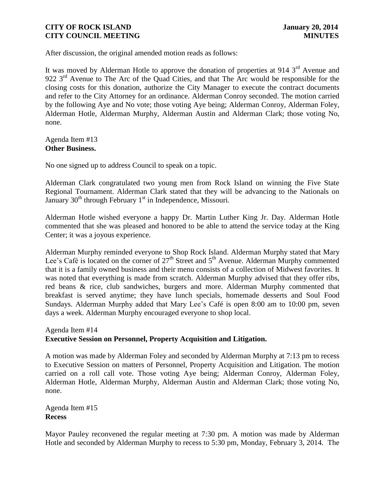After discussion, the original amended motion reads as follows:

It was moved by Alderman Hotle to approve the donation of properties at 914  $3<sup>rd</sup>$  Avenue and 922 3<sup>rd</sup> Avenue to The Arc of the Quad Cities, and that The Arc would be responsible for the closing costs for this donation, authorize the City Manager to execute the contract documents and refer to the City Attorney for an ordinance. Alderman Conroy seconded. The motion carried by the following Aye and No vote; those voting Aye being; Alderman Conroy, Alderman Foley, Alderman Hotle, Alderman Murphy, Alderman Austin and Alderman Clark; those voting No, none.

Agenda Item #13 **Other Business.**

No one signed up to address Council to speak on a topic.

Alderman Clark congratulated two young men from Rock Island on winning the Five State Regional Tournament. Alderman Clark stated that they will be advancing to the Nationals on January  $30<sup>th</sup>$  through February 1<sup>st</sup> in Independence, Missouri.

Alderman Hotle wished everyone a happy Dr. Martin Luther King Jr. Day. Alderman Hotle commented that she was pleased and honored to be able to attend the service today at the King Center; it was a joyous experience.

Alderman Murphy reminded everyone to Shop Rock Island. Alderman Murphy stated that Mary Lee's Café is located on the corner of  $27<sup>th</sup>$  Street and  $5<sup>th</sup>$  Avenue. Alderman Murphy commented that it is a family owned business and their menu consists of a collection of Midwest favorites. It was noted that everything is made from scratch. Alderman Murphy advised that they offer ribs, red beans & rice, club sandwiches, burgers and more. Alderman Murphy commented that breakfast is served anytime; they have lunch specials, homemade desserts and Soul Food Sundays. Alderman Murphy added that Mary Lee's Café is open 8:00 am to 10:00 pm, seven days a week. Alderman Murphy encouraged everyone to shop local.

## Agenda Item #14 **Executive Session on Personnel, Property Acquisition and Litigation.**

A motion was made by Alderman Foley and seconded by Alderman Murphy at 7:13 pm to recess to Executive Session on matters of Personnel, Property Acquisition and Litigation. The motion carried on a roll call vote. Those voting Aye being; Alderman Conroy, Alderman Foley, Alderman Hotle, Alderman Murphy, Alderman Austin and Alderman Clark; those voting No, none.

Agenda Item #15 **Recess**

Mayor Pauley reconvened the regular meeting at 7:30 pm. A motion was made by Alderman Hotle and seconded by Alderman Murphy to recess to 5:30 pm, Monday, February 3, 2014. The